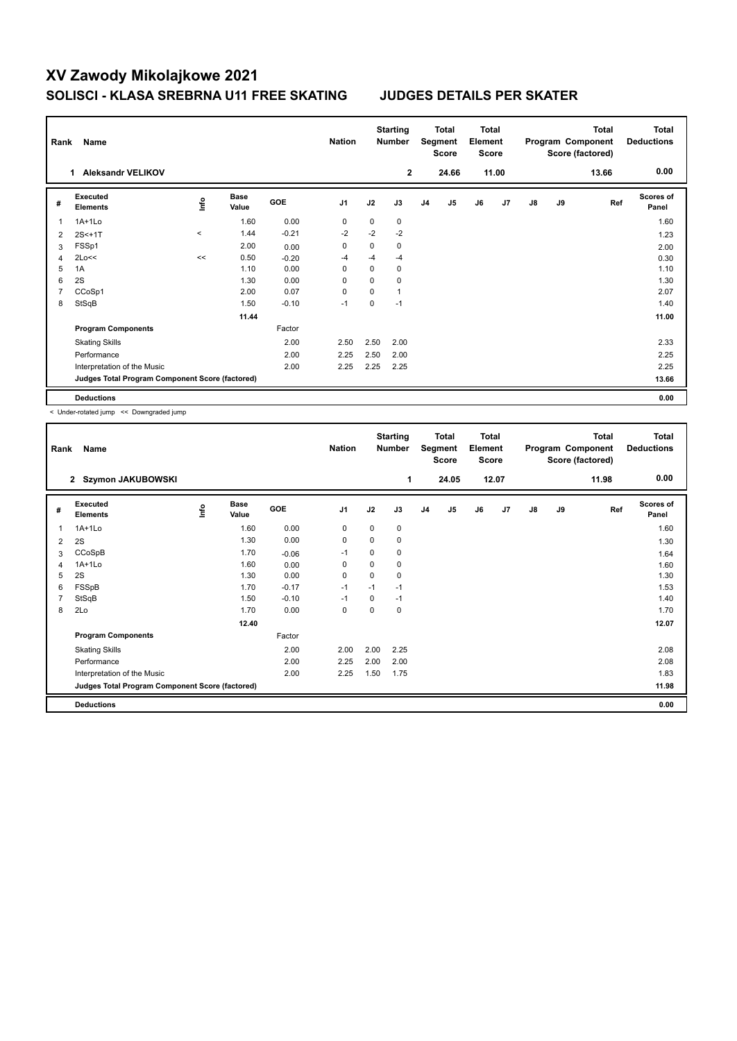## **XV Zawody Mikolajkowe 2021 SOLISCI - KLASA SREBRNA U11 FREE SKATING JUDGES DETAILS PER SKATER**

| Rank | Name                                            |          |                      |            | <b>Nation</b>  |             | <b>Starting</b><br><b>Number</b> |                | Total<br>Segment<br><b>Score</b> | Total<br>Element<br><b>Score</b> |       |               |    | <b>Total</b><br>Program Component<br>Score (factored) | <b>Total</b><br><b>Deductions</b> |
|------|-------------------------------------------------|----------|----------------------|------------|----------------|-------------|----------------------------------|----------------|----------------------------------|----------------------------------|-------|---------------|----|-------------------------------------------------------|-----------------------------------|
|      | <b>Aleksandr VELIKOV</b><br>1                   |          |                      |            |                |             | $\mathbf{2}$                     |                | 24.66                            |                                  | 11.00 |               |    | 13.66                                                 | 0.00                              |
| #    | Executed<br><b>Elements</b>                     | lnfo     | <b>Base</b><br>Value | <b>GOE</b> | J <sub>1</sub> | J2          | J3                               | J <sub>4</sub> | J5                               | J6                               | J7    | $\mathsf{J}8$ | J9 | Ref                                                   | <b>Scores of</b><br>Panel         |
| 1    | 1A+1Lo                                          |          | 1.60                 | 0.00       | 0              | $\mathbf 0$ | 0                                |                |                                  |                                  |       |               |    |                                                       | 1.60                              |
| 2    | $2S < +1T$                                      | $\hat{}$ | 1.44                 | $-0.21$    | $-2$           | $-2$        | $-2$                             |                |                                  |                                  |       |               |    |                                                       | 1.23                              |
| 3    | FSSp1                                           |          | 2.00                 | 0.00       | 0              | $\mathbf 0$ | 0                                |                |                                  |                                  |       |               |    |                                                       | 2.00                              |
| 4    | 2Lo<<                                           | <<       | 0.50                 | $-0.20$    | -4             | $-4$        | $-4$                             |                |                                  |                                  |       |               |    |                                                       | 0.30                              |
| 5    | 1A                                              |          | 1.10                 | 0.00       | 0              | 0           | 0                                |                |                                  |                                  |       |               |    |                                                       | 1.10                              |
| 6    | 2S                                              |          | 1.30                 | 0.00       | $\Omega$       | $\Omega$    | $\Omega$                         |                |                                  |                                  |       |               |    |                                                       | 1.30                              |
| 7    | CCoSp1                                          |          | 2.00                 | 0.07       | $\mathbf 0$    | $\mathbf 0$ | $\mathbf{1}$                     |                |                                  |                                  |       |               |    |                                                       | 2.07                              |
| 8    | StSqB                                           |          | 1.50                 | $-0.10$    | $-1$           | 0           | $-1$                             |                |                                  |                                  |       |               |    |                                                       | 1.40                              |
|      |                                                 |          | 11.44                |            |                |             |                                  |                |                                  |                                  |       |               |    |                                                       | 11.00                             |
|      | <b>Program Components</b>                       |          |                      | Factor     |                |             |                                  |                |                                  |                                  |       |               |    |                                                       |                                   |
|      | <b>Skating Skills</b>                           |          |                      | 2.00       | 2.50           | 2.50        | 2.00                             |                |                                  |                                  |       |               |    |                                                       | 2.33                              |
|      | Performance                                     |          |                      | 2.00       | 2.25           | 2.50        | 2.00                             |                |                                  |                                  |       |               |    |                                                       | 2.25                              |
|      | Interpretation of the Music                     |          |                      | 2.00       | 2.25           | 2.25        | 2.25                             |                |                                  |                                  |       |               |    |                                                       | 2.25                              |
|      | Judges Total Program Component Score (factored) |          |                      |            |                |             |                                  |                |                                  |                                  |       |               |    |                                                       | 13.66                             |
|      | <b>Deductions</b>                               |          |                      |            |                |             |                                  |                |                                  |                                  |       |               |    |                                                       | 0.00                              |

< Under-rotated jump << Downgraded jump

| Rank | Name                                            |      |                      |         | <b>Nation</b> |          | <b>Starting</b><br><b>Number</b> |                | <b>Total</b><br>Segment<br><b>Score</b> | <b>Total</b><br>Element<br><b>Score</b> |       |               |    | <b>Total</b><br>Program Component<br>Score (factored) | <b>Total</b><br><b>Deductions</b> |
|------|-------------------------------------------------|------|----------------------|---------|---------------|----------|----------------------------------|----------------|-----------------------------------------|-----------------------------------------|-------|---------------|----|-------------------------------------------------------|-----------------------------------|
|      | Szymon JAKUBOWSKI<br>$\mathbf{2}$               |      |                      |         |               |          | 1                                |                | 24.05                                   |                                         | 12.07 |               |    | 11.98                                                 | 0.00                              |
| #    | Executed<br><b>Elements</b>                     | ١nf٥ | <b>Base</b><br>Value | GOE     | J1            | J2       | J3                               | J <sub>4</sub> | J5                                      | J6                                      | J7    | $\mathsf{J}8$ | J9 | Ref                                                   | <b>Scores of</b><br>Panel         |
| 1    | $1A+1L0$                                        |      | 1.60                 | 0.00    | 0             | 0        | 0                                |                |                                         |                                         |       |               |    |                                                       | 1.60                              |
| 2    | 2S                                              |      | 1.30                 | 0.00    | 0             | 0        | 0                                |                |                                         |                                         |       |               |    |                                                       | 1.30                              |
| 3    | CCoSpB                                          |      | 1.70                 | $-0.06$ | $-1$          | 0        | 0                                |                |                                         |                                         |       |               |    |                                                       | 1.64                              |
| 4    | $1A+1L0$                                        |      | 1.60                 | 0.00    | 0             | 0        | 0                                |                |                                         |                                         |       |               |    |                                                       | 1.60                              |
| 5    | 2S                                              |      | 1.30                 | 0.00    | 0             | 0        | 0                                |                |                                         |                                         |       |               |    |                                                       | 1.30                              |
| 6    | FSSpB                                           |      | 1.70                 | $-0.17$ | $-1$          | $-1$     | $-1$                             |                |                                         |                                         |       |               |    |                                                       | 1.53                              |
| 7    | StSqB                                           |      | 1.50                 | $-0.10$ | $-1$          | $\Omega$ | $-1$                             |                |                                         |                                         |       |               |    |                                                       | 1.40                              |
| 8    | 2Lo                                             |      | 1.70                 | 0.00    | 0             | 0        | 0                                |                |                                         |                                         |       |               |    |                                                       | 1.70                              |
|      |                                                 |      | 12.40                |         |               |          |                                  |                |                                         |                                         |       |               |    |                                                       | 12.07                             |
|      | <b>Program Components</b>                       |      |                      | Factor  |               |          |                                  |                |                                         |                                         |       |               |    |                                                       |                                   |
|      | <b>Skating Skills</b>                           |      |                      | 2.00    | 2.00          | 2.00     | 2.25                             |                |                                         |                                         |       |               |    |                                                       | 2.08                              |
|      | Performance                                     |      |                      | 2.00    | 2.25          | 2.00     | 2.00                             |                |                                         |                                         |       |               |    |                                                       | 2.08                              |
|      | Interpretation of the Music                     |      |                      | 2.00    | 2.25          | 1.50     | 1.75                             |                |                                         |                                         |       |               |    |                                                       | 1.83                              |
|      | Judges Total Program Component Score (factored) |      |                      |         |               |          |                                  |                |                                         |                                         |       |               |    |                                                       | 11.98                             |
|      | <b>Deductions</b>                               |      |                      |         |               |          |                                  |                |                                         |                                         |       |               |    |                                                       | 0.00                              |